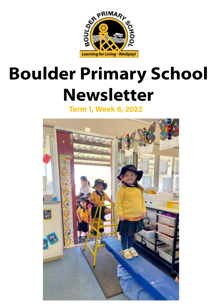

#### **Boulder Primary School Newsletter**

**Term 1, Week 6, 2022**

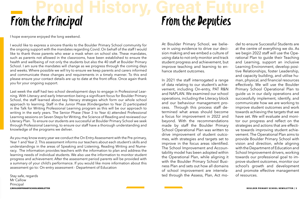I hope everyone enjoyed the long weekend.

I would like to express a sincere thanks to the Boulder Primary School community for the ongoing support with the mandates regarding Covid. On behalf of the staff I would like to thank those parents who wear a mask when on school site. These mandates, such as parents not allowed in the classrooms, have been established to ensure the health and wellbeing of not only the students but also the 40 staff at Boulder Primary School. I am sure the mandates will change as we progress through the coming days and weeks. Where possible we will try to ensure we keep parents and carers informed and communicate these changes and requirements in a timely manner. To this end please ensure your contact details are up to date at the front office. Once again thank you for your ongoing support.

# From the Principal **Proud History, Great Future!** From the Deputies

Last week the staff had two school development days to engage in Professional Learning. With Literacy and early Intervention being a significant focus for Boulder Primary School, the staff learned about key literacy strategies which form our whole school approach to learning. Staff in the Junior Phase (Kindergarten to Year 2) participated in the Talk for Writing Professional Learning program as this will be our approach to writing in the early years. The Senior Phase (Year 3 to Year 6) attended Professional Learning sessions on Seven Steps for Writing, the Science of Reading and reviewed our Literacy Plan. To ensure our students are successful at Boulder Primary School we seek through Professional Learning, to ensure our staff have a thorough understanding and knowledge of the programs we deliver.

As you may know every year we conduct the On Entry Assessment with the Pre-primary, Year 1 and Year 2. This assessment informs our teachers about each student's skills and understandings in the areas of Speaking and Listening, Reading Writing and Numeracy. The information provides teachers with the information to plan and address the learning needs of individual students. We also use the information to monitor student progress and achievement. After the assessment period parents will be provided with a summary of your child's performance. If you would like more information about this assessment go to: On-entry assessment - Department of Education

Stay safe, regards Mr Callow Principal

del to ensure Successful Students are at the centre of everything we do. As we begin 2022 staff will use the Operational Plan to guide their Teaching and Learning, support an inclusive Learning Environment, develop positive Relationships, foster Leadership, and capacity building, and utilise human, physical, and financial resources effectively. We will use the Boulder Primary School Operational Plan to guide us in our daily operations and successfully implement, identify, and communicate how we are working to improve student outcomes and work towards achieving the targets that we have set. We will evaluate and monitor our progress and reflect on the strategies and actions that are effective towards improving student achievement. The Operational Plan aims to provide Boulder Primary School with vision and direction, while aligning with the Department of Education and School Improvement drivers, working towards our professional goal to improve student outcomes, monitor our school's growth and development and promote effective management of resources. At Boulder Primary School, we believe in using evidence to drive our decision making and we embed a culture of using data to not only monitor and track student progress and achievement, but improve teaching and learning to enhance student outcomes. In 2021 the staff interrogated a range of data relating to our student's achievement, including On-entry, PAT R&N and NAPLAN. We examined our school operations, including the Literacy block and our behaviour management process. Through this process staff determined what areas should become a focus for improvement in 2022 and beyond. With the recommendations made by staff the Boulder Primary School Operational Plan was written to drive improvement of student outcomes, with strategies and targets set to improve in the focus areas identified. The School Improvement and Accountability model has been adopted within the Operational Plan, while aligning it with the Boulder Primary School Business Plan and sets out how all domains of school improvement are interrelated through the Assess, Plan, Act mo-